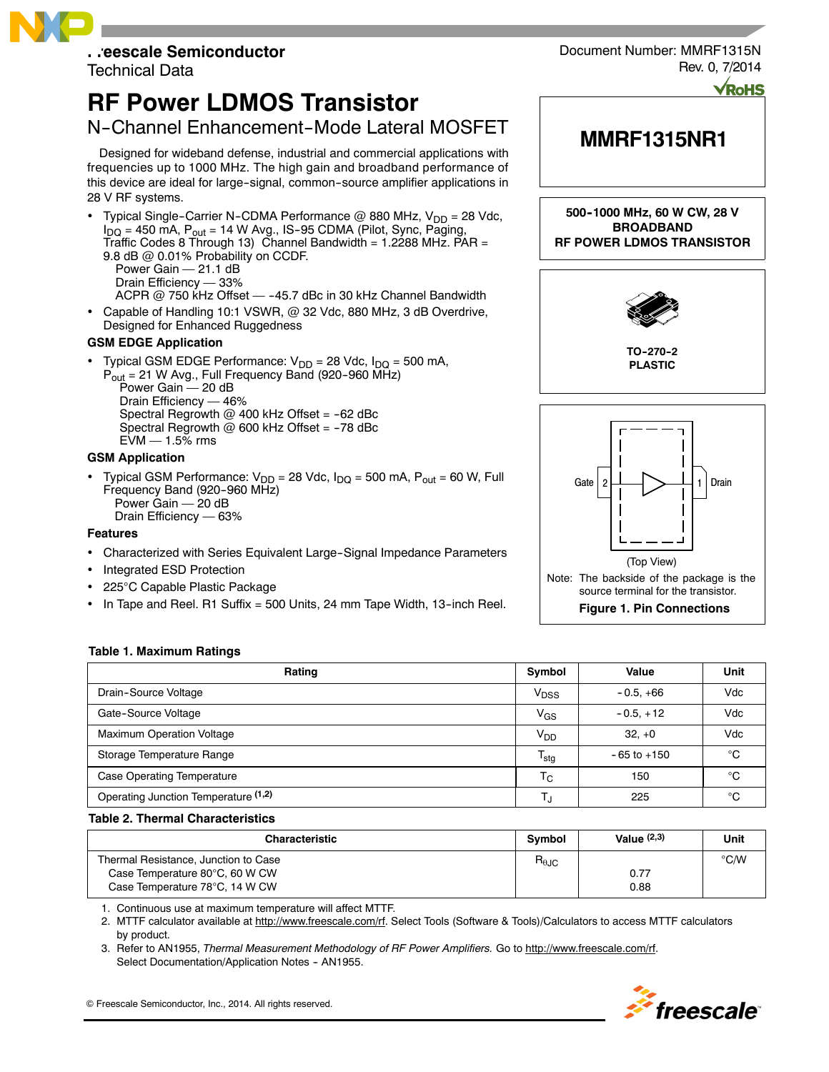# **Freescale Semiconductor**

Technical Data

## **RF Power LDMOS Transistor**

### N-Channel Enhancement-Mode Lateral MOSFET

Designed for wideband defense, industrial and commercial applications with frequencies up to 1000 MHz. The high gain and broadband performance of this device are ideal for large-signal, common-source amplifier applications in 28 V RF systems.

• Typical Single-Carrier N-CDMA Performance @ 880 MHz,  $V_{DD} = 28$  Vdc,  $I_{DQ}$  = 450 mA,  $P_{out}$  = 14 W Avg., IS-95 CDMA (Pilot, Sync, Paging, Traffic Codes 8 Through 13) Channel Bandwidth =  $1.2288$  MHz. PAR = 9.8 dB @ 0.01% Probability on CCDF.

Power Gain - 21.1 dB Drain Efficiency — 33%

ACPR  $@$  750 kHz Offset  $-$  -45.7 dBc in 30 kHz Channel Bandwidth

 Capable of Handling 10:1 VSWR, @ 32 Vdc, 880 MHz, 3 dB Overdrive, Designed for Enhanced Ruggedness

#### **GSM EDGE Application**

Typical GSM EDGE Performance:  $V_{DD} = 28$  Vdc,  $I_{DQ} = 500$  mA,

 $P_{out}$  = 21 W Avg., Full Frequency Band (920-960 MHz) Power Gain — 20 dB Drain Efficiency — 46% Spectral Regrowth  $@$  400 kHz Offset = -62 dBc Spectral Regrowth  $@$  600 kHz Offset = -78 dBc  $EVM - 1.5\%$  rms

#### **GSM Application**

• Typical GSM Performance:  $V_{DD} = 28$  Vdc,  $I_{DQ} = 500$  mA,  $P_{out} = 60$  W, Full Frequency Band (920-960 MHz) Power Gain — 20 dB Drain Efficiency — 63%

#### **Features**

- Characterized with Series Equivalent Large-Signal Impedance Parameters
- Integrated ESD Protection
- 225°C Capable Plastic Package
- In Tape and Reel. R1 Suffix = 500 Units, 24 mm Tape Width, 13-inch Reel.





#### **Table 1. Maximum Ratings**

| Rating                               | Symbol           | Value           | Unit |
|--------------------------------------|------------------|-----------------|------|
| Drain-Source Voltage                 | $V_{DSS}$        | $-0.5, +66$     | Vdc  |
| Gate-Source Voltage                  | $V_{GS}$         | $-0.5.+12$      | Vdc  |
| <b>Maximum Operation Voltage</b>     | V <sub>DD</sub>  | $32. +0$        | Vdc  |
| Storage Temperature Range            | $T_{\text{stg}}$ | $-65$ to $+150$ | °C   |
| <b>Case Operating Temperature</b>    | $T_{\rm C}$      | 150             | °C   |
| Operating Junction Temperature (1,2) | T.               | 225             | °C   |

#### **Table 2. Thermal Characteristics**

| <b>Characteristic</b>                | Symbol         | Value $(2,3)$ | Unit          |
|--------------------------------------|----------------|---------------|---------------|
| Thermal Resistance, Junction to Case | $R_{\theta$ JC |               | $\degree$ C/W |
| Case Temperature 80°C, 60 W CW       |                | 0.77          |               |
| Case Temperature 78°C, 14 W CW       |                | 0.88          |               |

1. Continuous use at maximum temperature will affect MTTF.

2. MTTF calculator available at http://www.freescale.com/rf. Select Tools (Software & Tools)/Calculators to access MTTF calculators by product.

3. Refer to AN1955, *Thermal Measurement Methodology of RF Power Amplifiers.* Go to http://www.freescale.com/rf. Select Documentation/Application Notes - AN1955.

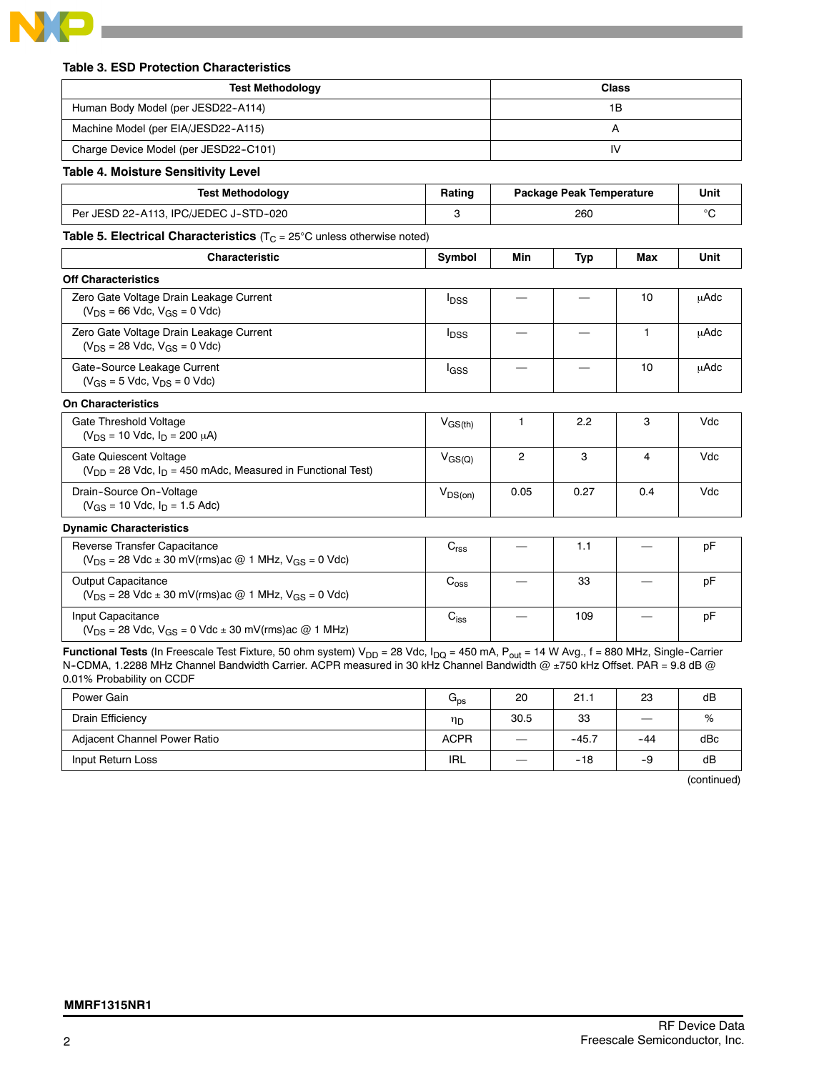

#### **Table 3. ESD Protection Characteristics**

| <b>Test Methodology</b>               | Class |
|---------------------------------------|-------|
| Human Body Model (per JESD22-A114)    | ١B    |
| Machine Model (per EIA/JESD22-A115)   |       |
| Charge Device Model (per JESD22-C101) |       |

**Table 4. Moisture Sensitivity Level**

| <b>Test Methodology</b>               | Rating | Package Peak Temperature | Unit |
|---------------------------------------|--------|--------------------------|------|
| Per JESD 22-A113, IPC/JEDEC J-STD-020 |        | 260                      |      |

**Table 5. Electrical Characteristics** (T<sub>C</sub> = 25°C unless otherwise noted)

| <b>Characteristic</b>                                                                        | Symbol                  | Min            | Typ  | Max | Unit |
|----------------------------------------------------------------------------------------------|-------------------------|----------------|------|-----|------|
| <b>Off Characteristics</b>                                                                   |                         |                |      |     |      |
| Zero Gate Voltage Drain Leakage Current<br>$(V_{DS} = 66$ Vdc, $V_{GS} = 0$ Vdc)             | <b>I</b> DSS            |                |      | 10  | uAdc |
| Zero Gate Voltage Drain Leakage Current<br>$(V_{DS} = 28$ Vdc, $V_{GS} = 0$ Vdc)             | <b>I</b> <sub>DSS</sub> |                |      | 1   | μAdc |
| Gate-Source Leakage Current<br>$(V_{GS} = 5$ Vdc, $V_{DS} = 0$ Vdc)                          | lgss                    |                |      | 10  | uAdc |
| <b>On Characteristics</b>                                                                    |                         |                |      |     |      |
| Gate Threshold Voltage<br>$(V_{DS} = 10$ Vdc, $I_D = 200 \mu A$ )                            | $V_{\rm GS(th)}$        |                | 2.2  | 3   | Vdc  |
| Gate Quiescent Voltage<br>$(V_{DD} = 28$ Vdc, $I_D = 450$ mAdc, Measured in Functional Test) | $V_{\rm GS(Q)}$         | $\overline{2}$ | 3    | 4   | Vdc  |
| Drain-Source On-Voltage<br>$(V_{GS} = 10$ Vdc, $I_D = 1.5$ Adc)                              | $V_{DS(on)}$            | 0.05           | 0.27 | 0.4 | Vdc  |
| <b>Dynamic Characteristics</b>                                                               |                         |                |      |     |      |

| Reverse Transfer Capacitance<br>$(V_{DS} = 28$ Vdc $\pm$ 30 mV(rms) ac @ 1 MHz, V <sub>GS</sub> = 0 Vdc) | $\mathsf{v}_{\mathsf{rss}}$ | 1.1 | рF |
|----------------------------------------------------------------------------------------------------------|-----------------------------|-----|----|
| Output Capacitance<br>$(V_{DS} = 28$ Vdc ± 30 mV(rms)ac @ 1 MHz, V <sub>GS</sub> = 0 Vdc)                | $\mathrm{C_{oss}}$          | 33  | рF |
| Input Capacitance<br>$(V_{DS} = 28$ Vdc, $V_{GS} = 0$ Vdc $\pm$ 30 mV(rms) ac @ 1 MHz)                   | Uiss                        | 109 | рF |

Functional Tests (In Freescale Test Fixture, 50 ohm system) V<sub>DD</sub> = 28 Vdc, I<sub>DQ</sub> = 450 mA, P<sub>out</sub> = 14 W Avg., f = 880 MHz, Single-Carrier N-CDMA, 1.2288 MHz Channel Bandwidth Carrier. ACPR measured in 30 kHz Channel Bandwidth @ ±750 kHz Offset. PAR = 9.8 dB @ 0.01% Probability on CCDF

| Power Gain                   | $G_{\text{ps}}$ | 20                            | 21.1    | 23    | dB  |
|------------------------------|-----------------|-------------------------------|---------|-------|-----|
| Drain Efficiency             | ηD              | 30.5                          | 33      |       | %   |
| Adjacent Channel Power Ratio | <b>ACPR</b>     | $\overbrace{\phantom{aaaaa}}$ | $-45.7$ | $-44$ | dBc |
| Input Return Loss            | IRL             | $\overline{\phantom{a}}$      | $-18$   | -9    | dB  |

(continued)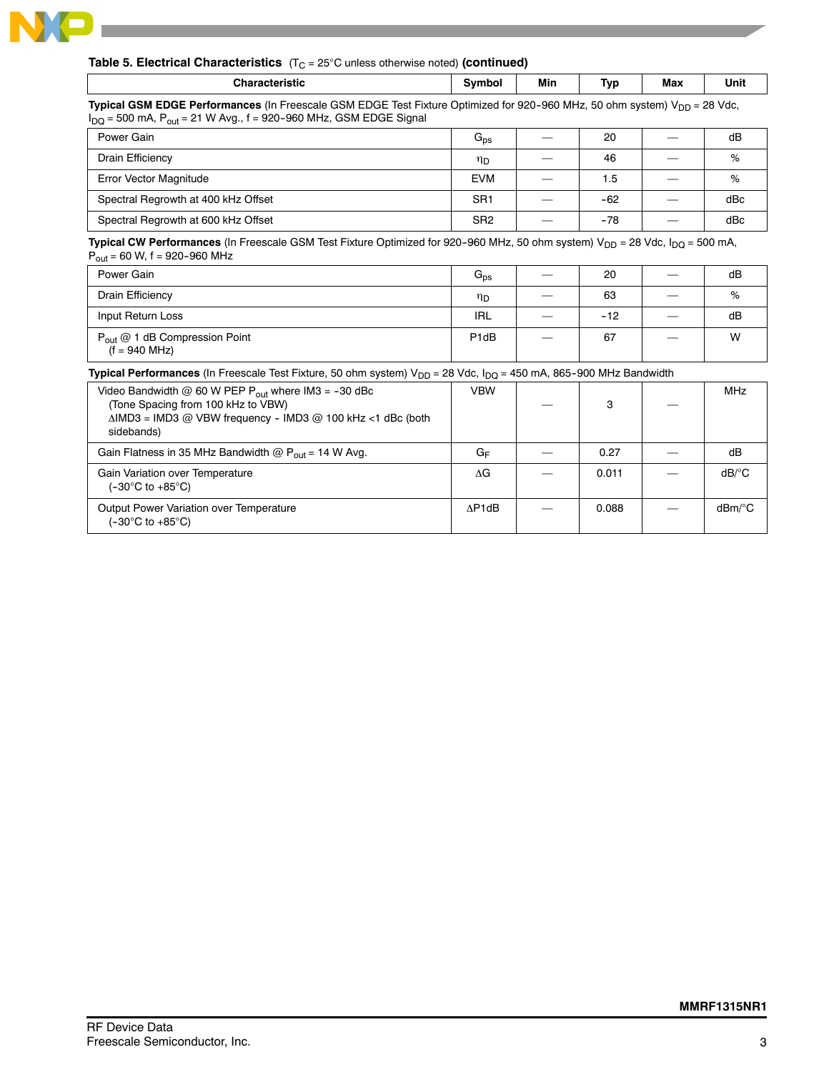

#### **Table 5. Electrical Characteristics** (T<sub>C</sub> = 25°C unless otherwise noted) (continued)

|  | м.<br>------ |  | Min | -<br>Tvr<br>. . | Мах | Unit |
|--|--------------|--|-----|-----------------|-----|------|
|--|--------------|--|-----|-----------------|-----|------|

**Typical GSM EDGE Performances** (In Freescale GSM EDGE Test Fixture Optimized for 920-960 MHz, 50 ohm system) V<sub>DD</sub> = 28 Vdc,  $I_{DQ}$  = 500 mA,  $P_{out}$  = 21 W Avg.,  $f = 920-960$  MHz, GSM EDGE Signal

| Power Gain                          | $G_{DS}$        | 20    |        | dB  |
|-------------------------------------|-----------------|-------|--------|-----|
| Drain Efficiency                    | ηD              | 46    |        | %   |
| Error Vector Magnitude              | <b>EVM</b>      | 1.5   |        | %   |
| Spectral Regrowth at 400 kHz Offset | SR <sub>1</sub> | $-62$ | $\sim$ | dBc |
| Spectral Regrowth at 600 kHz Offset | SR <sub>2</sub> | $-78$ |        | dBc |

Typical CW Performances (In Freescale GSM Test Fixture Optimized for 920-960 MHz, 50 ohm system) V<sub>DD</sub> = 28 Vdc, I<sub>DQ</sub> = 500 mA,  $P_{\text{out}} = 60 \text{ W}, f = 920 - 960 \text{ MHz}$ 

| .                                                                    |                   |                          |       |        |    |
|----------------------------------------------------------------------|-------------------|--------------------------|-------|--------|----|
| Power Gain                                                           | $G_{DS}$          |                          | 20    |        | dB |
| Drain Efficiency                                                     | ηD                |                          | 63    |        | %  |
| Input Return Loss                                                    | <b>IRL</b>        | $\overline{\phantom{a}}$ | $-12$ | $\sim$ | dB |
| P <sub>out</sub> @ 1 dB Compression Point<br>$(f = 940 \text{ MHz})$ | P <sub>1d</sub> B |                          | 67    |        | W  |

#### **Typical Performances** (In Freescale Test Fixture, 50 ohm system) V<sub>DD</sub> = 28 Vdc, I<sub>DQ</sub> = 450 mA, 865-900 MHz Bandwidth

| Video Bandwidth @ 60 W PEP $P_{out}$ where IM3 = -30 dBc<br>(Tone Spacing from 100 kHz to VBW)<br>$\triangle$ IMD3 = IMD3 @ VBW frequency - IMD3 @ 100 kHz <1 dBc (both<br>sidebands) | <b>VBW</b> | з     | <b>MHz</b>                           |
|---------------------------------------------------------------------------------------------------------------------------------------------------------------------------------------|------------|-------|--------------------------------------|
| Gain Flatness in 35 MHz Bandwidth $\omega P_{out}$ = 14 W Avg.                                                                                                                        | GF         | 0.27  | dB                                   |
| Gain Variation over Temperature<br>$(-30^{\circ}$ C to $+85^{\circ}$ C)                                                                                                               | ΛG         | 0.011 | $dB$ <sup><math>\circ</math></sup> C |
| Output Power Variation over Temperature<br>$(-30^{\circ} \text{C to } +85^{\circ} \text{C})$                                                                                          | AP1dB      | 0.088 | $dBm$ <sup>o</sup> C                 |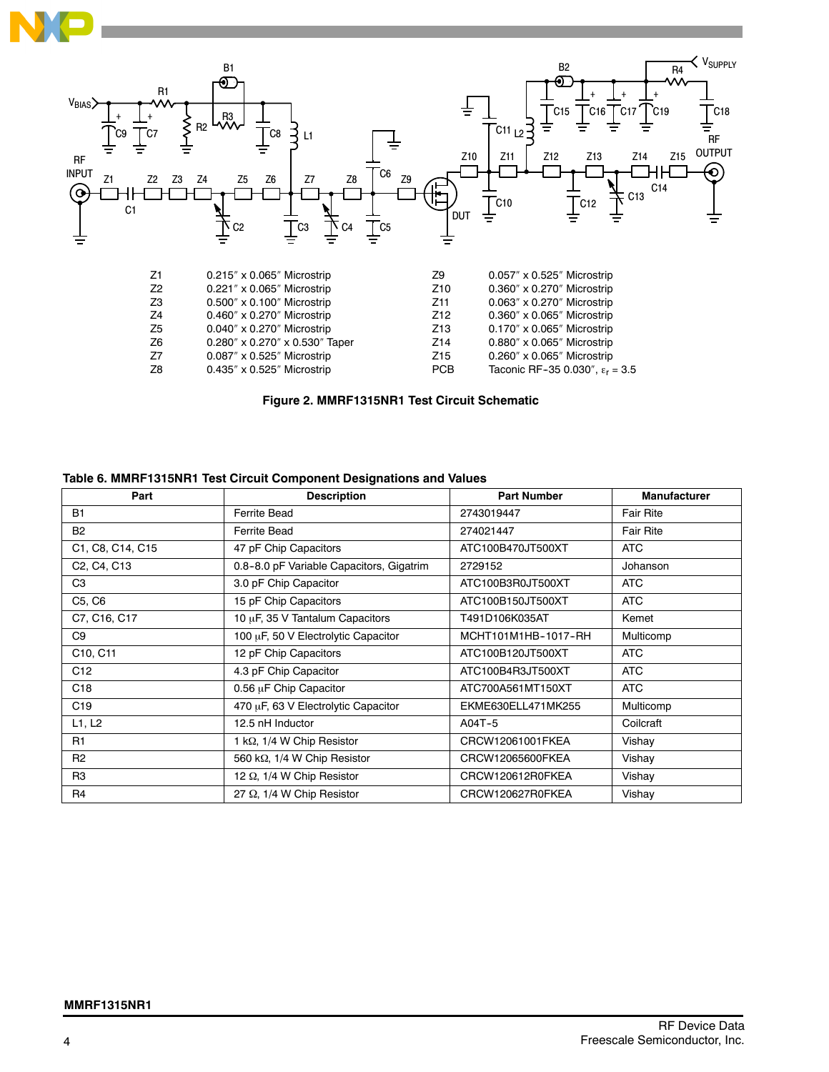



| ΖI.            | U.ZIS XU.UDS MICTOSLIID                       | ZY.             | U.USI X U.SZS MICIOSIND                  |
|----------------|-----------------------------------------------|-----------------|------------------------------------------|
| Z <sub>2</sub> | $0.221''$ x $0.065''$ Microstrip              | Z <sub>10</sub> | $0.360'' \times 0.270''$ Microstrip      |
| Z <sub>3</sub> | $0.500'' \times 0.100''$ Microstrip           | Z11             | $0.063'' \times 0.270''$ Microstrip      |
| Z4             | $0.460'' \times 0.270''$ Microstrip           | Z <sub>12</sub> | $0.360'' \times 0.065''$ Microstrip      |
| Z <sub>5</sub> | $0.040'' \times 0.270''$ Microstrip           | Z <sub>13</sub> | $0.170'' \times 0.065''$ Microstrip      |
| Z <sub>6</sub> | $0.280'' \times 0.270'' \times 0.530''$ Taper | Z14             | $0.880'' \times 0.065''$ Microstrip      |
| Z7             | $0.087''$ x $0.525''$ Microstrip              | Z <sub>15</sub> | $0.260'' \times 0.065''$ Microstrip      |
| Z8             | $0.435''$ x $0.525''$ Microstrip              | PCB             | Taconic RF-35 0.030", $\epsilon_r = 3.5$ |
|                |                                               |                 |                                          |

**Figure 2. MMRF1315NR1 Test Circuit Schematic**

| Part                            | <b>Description</b>                       | <b>Part Number</b>  | <b>Manufacturer</b> |
|---------------------------------|------------------------------------------|---------------------|---------------------|
| <b>B1</b>                       | <b>Ferrite Bead</b>                      | 2743019447          | <b>Fair Rite</b>    |
| <b>B2</b>                       | <b>Ferrite Bead</b>                      | 274021447           | <b>Fair Rite</b>    |
| C1, C8, C14, C15                | 47 pF Chip Capacitors                    | ATC100B470JT500XT   | <b>ATC</b>          |
| C2, C4, C13                     | 0.8-8.0 pF Variable Capacitors, Gigatrim | 2729152             | Johanson            |
| C <sub>3</sub>                  | 3.0 pF Chip Capacitor                    | ATC100B3R0JT500XT   | <b>ATC</b>          |
| C <sub>5</sub> , C <sub>6</sub> | 15 pF Chip Capacitors                    | ATC100B150JT500XT   | <b>ATC</b>          |
| C7, C16, C17                    | 10 µF, 35 V Tantalum Capacitors          | T491D106K035AT      | Kemet               |
| C9                              | 100 µF, 50 V Electrolytic Capacitor      | MCHT101M1HB-1017-RH | Multicomp           |
| C10, C11                        | 12 pF Chip Capacitors                    | ATC100B120JT500XT   | ATC                 |
| C <sub>12</sub>                 | 4.3 pF Chip Capacitor                    | ATC100B4R3JT500XT   | <b>ATC</b>          |
| C <sub>18</sub>                 | 0.56 µF Chip Capacitor                   | ATC700A561MT150XT   | <b>ATC</b>          |
| C <sub>19</sub>                 | 470 µF, 63 V Electrolytic Capacitor      | EKME630ELL471MK255  | Multicomp           |
| L1, L2                          | 12.5 nH Inductor                         | $A04T-5$            | Coilcraft           |
| R1                              | 1 kQ, 1/4 W Chip Resistor                | CRCW12061001FKEA    | Vishay              |
| R <sub>2</sub>                  | 560 kΩ, 1/4 W Chip Resistor              | CRCW12065600FKEA    | Vishay              |
| R <sub>3</sub>                  | 12 $\Omega$ , 1/4 W Chip Resistor        | CRCW120612R0FKEA    | Vishay              |
| R4                              | 27 $\Omega$ , 1/4 W Chip Resistor        | CRCW120627R0FKEA    | Vishay              |

#### **Table 6. MMRF1315NR1 Test Circuit Component Designations and Values**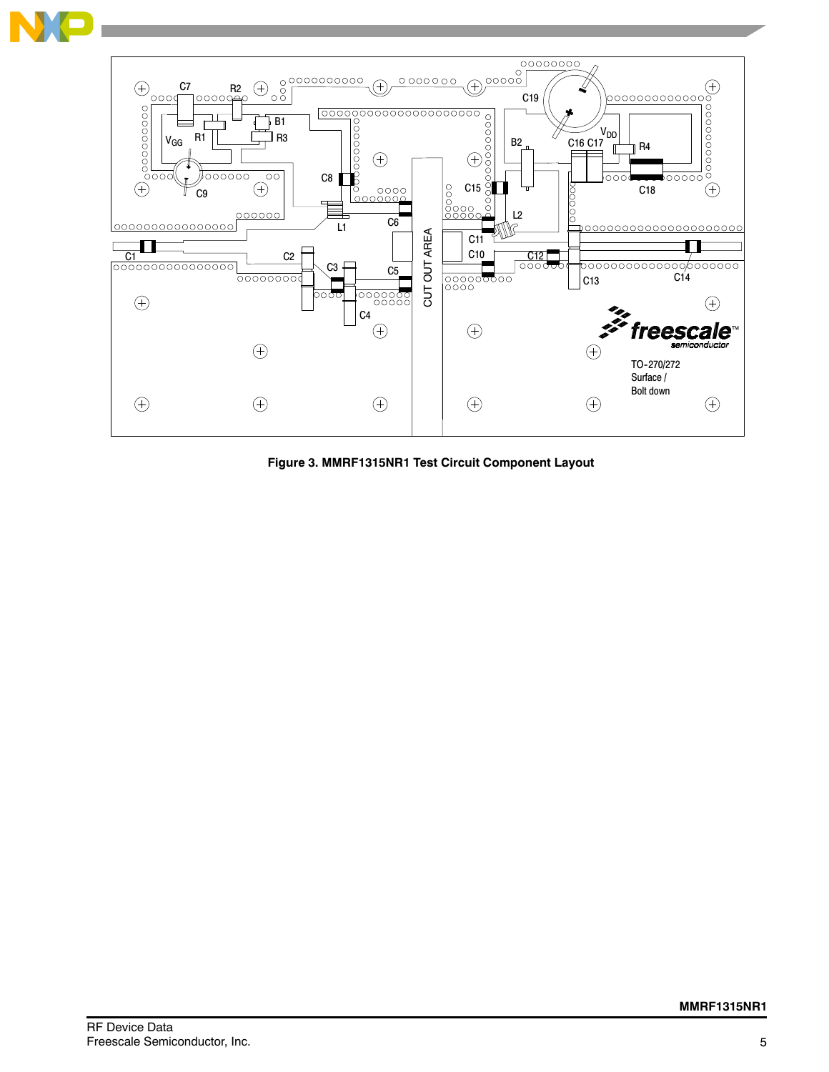

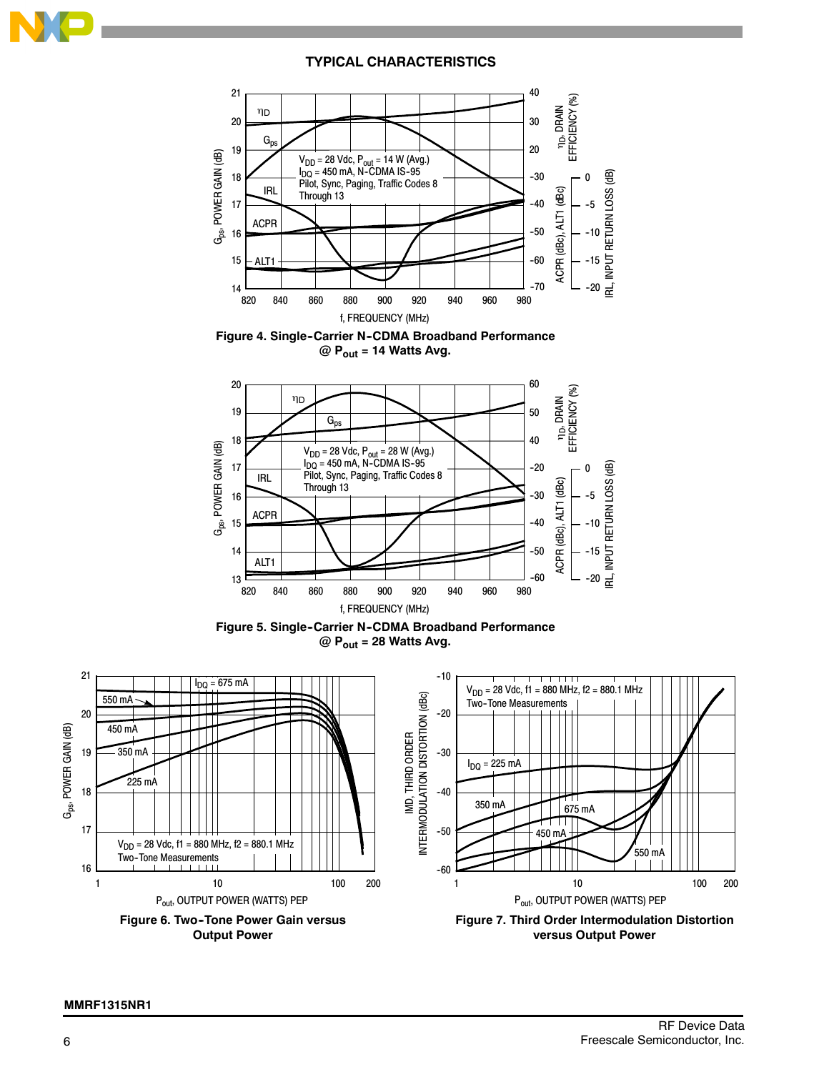

#### **TYPICAL CHARACTERISTICS**







**Figure 5. Single-Carrier N-CDMA Broadband Performance @ Pout = 28 Watts Avg.**

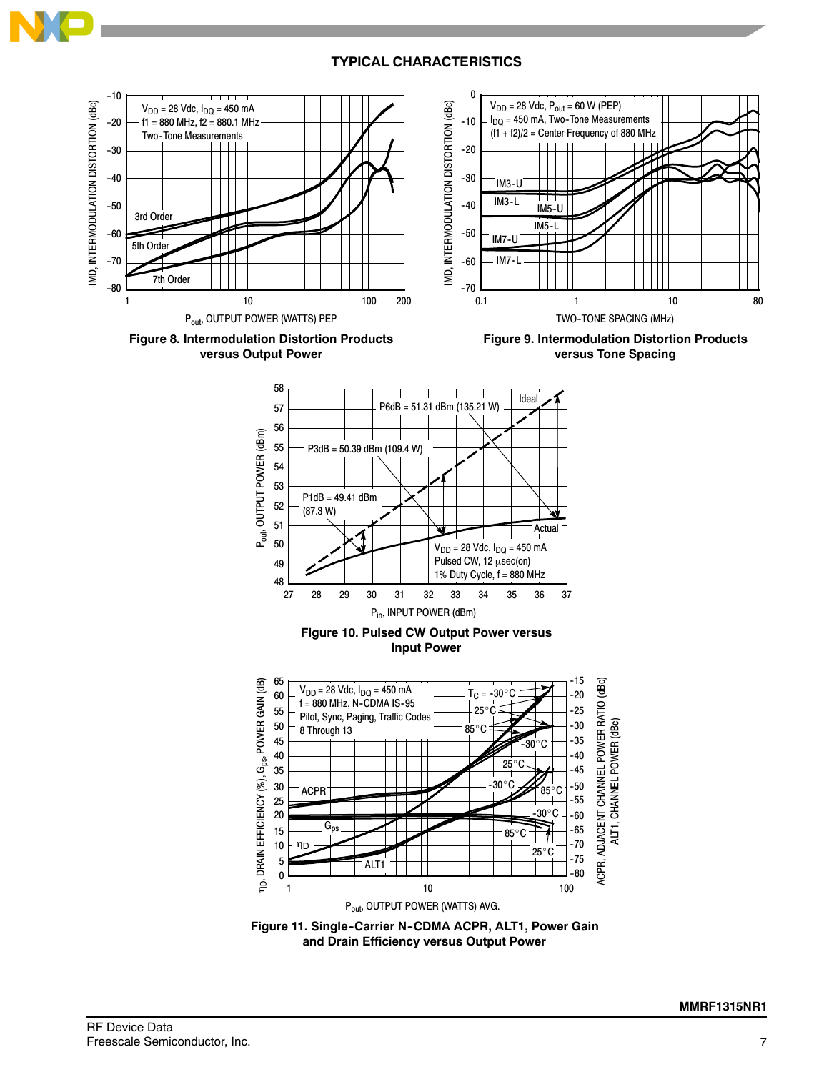





7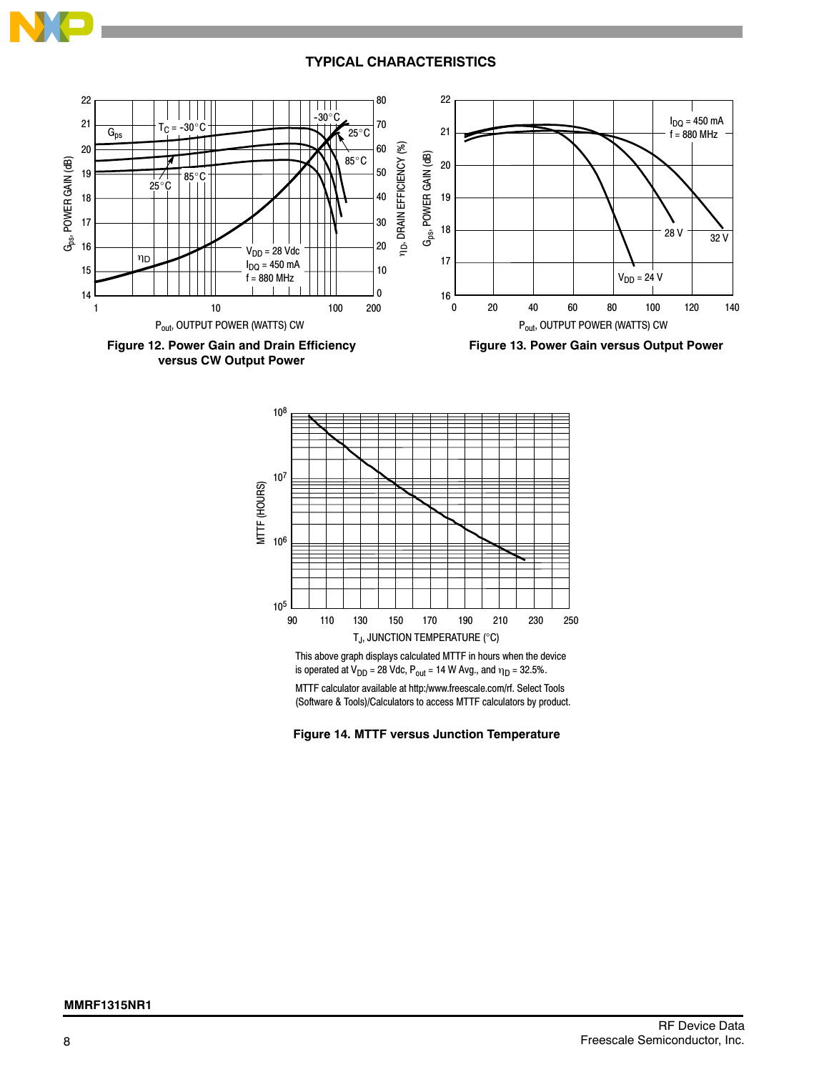#### **TYPICAL CHARACTERISTICS**

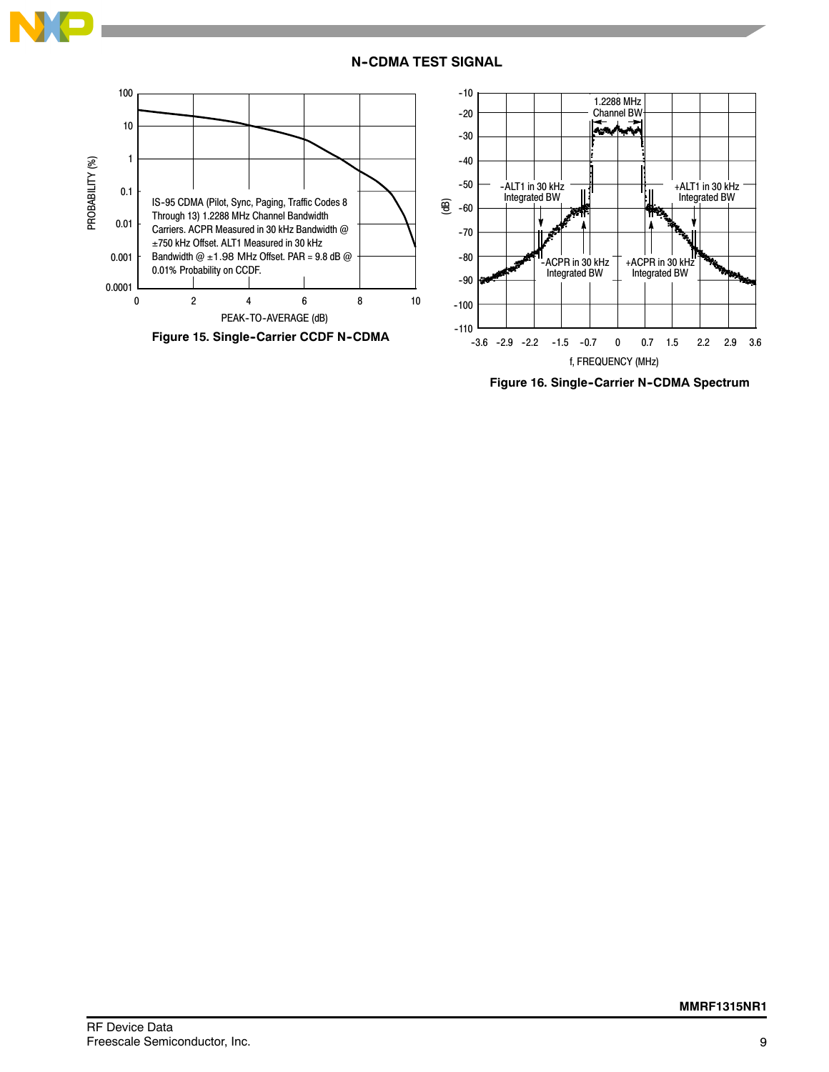

#### **N--CDMA TEST SIGNAL**



f, FREQUENCY (MHz)

**Figure 16. Single-Carrier N-CDMA Spectrum**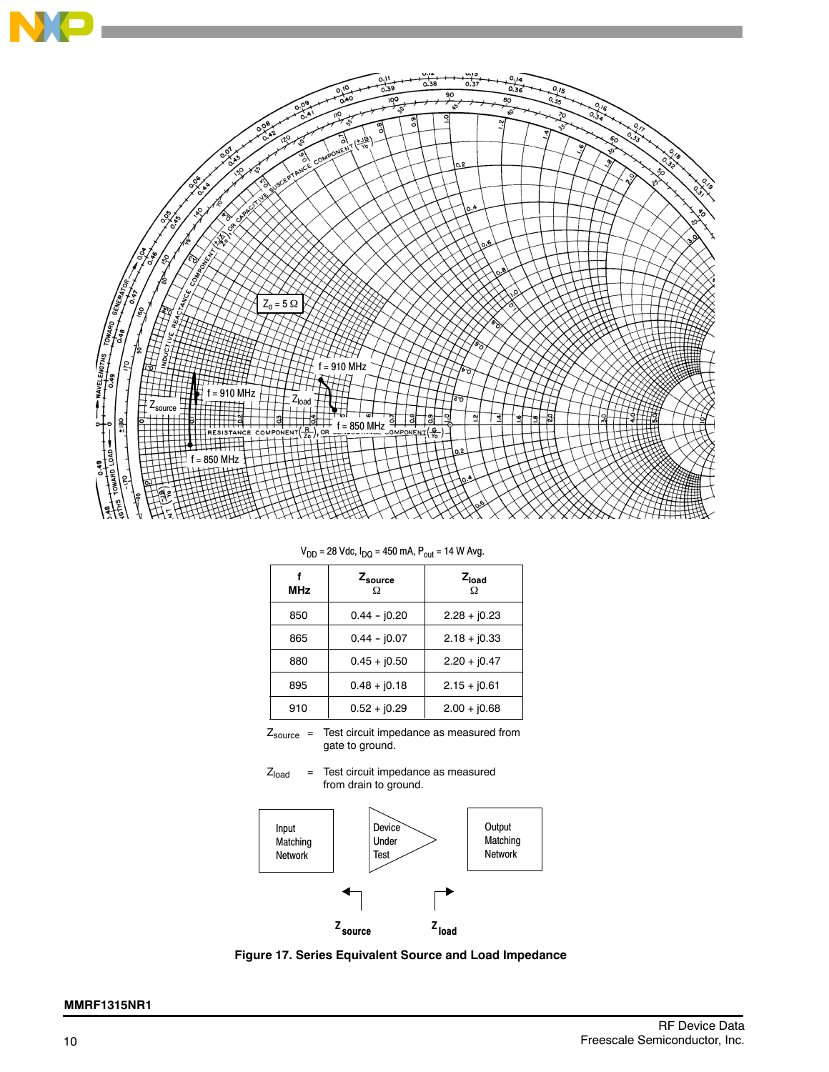

 $V_{DD} = 28$  Vdc,  $I_{DQ} = 450$  mA,  $P_{out} = 14$  W Avg.

| Zsource<br>Ω  | $Z_{load}$<br>Ω |
|---------------|-----------------|
| $0.44 - 0.20$ | $2.28 + j0.23$  |
| $0.44 - 0.07$ | $2.18 + j0.33$  |
| $0.45 + 0.50$ | $2.20 + j0.47$  |
| $0.48 + 0.18$ | $2.15 + 10.61$  |
| $0.52 + 0.29$ | $2.00 + 0.68$   |
|               |                 |

Z<sub>source</sub> = Test circuit impedance as measured from gate to ground.





**Figure 17. Series Equivalent Source and Load Impedance**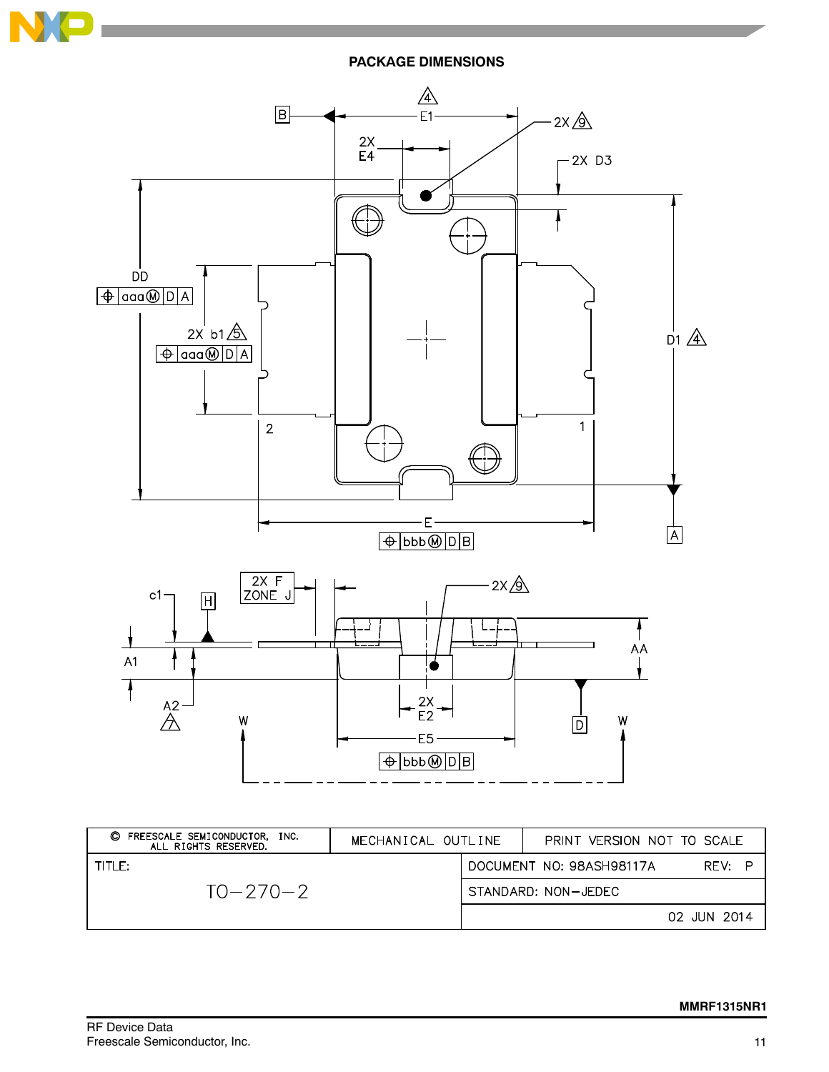

**PACKAGE DIMENSIONS**



| O<br>FREESCALE SEMICONDUCTOR, INC.<br>ALL RIGHTS RESERVED. | MECHANICAL OUTLINE |                          | PRINT VERSION NOT TO SCALE |             |
|------------------------------------------------------------|--------------------|--------------------------|----------------------------|-------------|
| TITI F:                                                    |                    | DOCUMENT NO: 98ASH98117A | RFV:<br>P                  |             |
| $TO - 270 - 2$                                             |                    |                          | STANDARD: NON-JEDEC        |             |
|                                                            |                    |                          |                            | 02 JUN 2014 |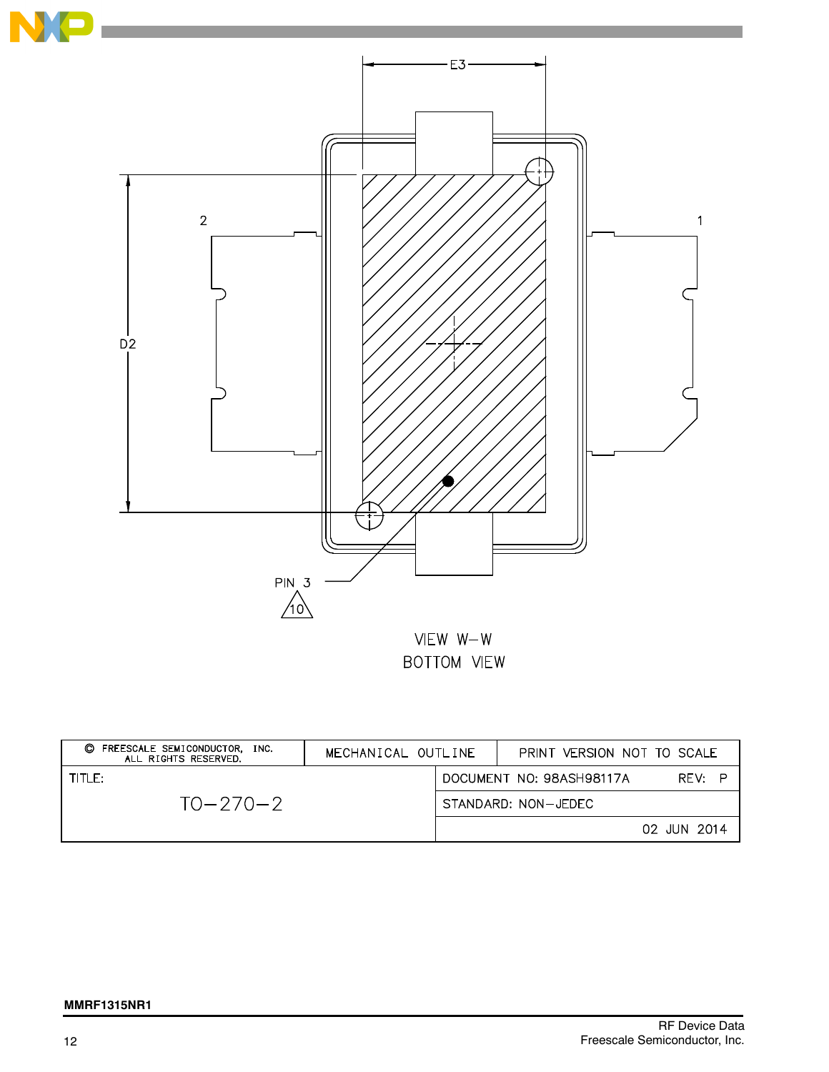

| C FREESCALE SEMICONDUCTOR. INC.<br>ALL RIGHTS RESERVED. | MECHANICAL OUTLINE |                     | PRINT VERSION NOT TO SCALE         |  |
|---------------------------------------------------------|--------------------|---------------------|------------------------------------|--|
| TITLE:                                                  |                    |                     | RFV: P<br>DOCUMENT NO: 98ASH98117A |  |
| $TO - 270 - 2$                                          |                    | STANDARD: NON-JEDEC |                                    |  |
|                                                         |                    |                     | 02 JUN 2014                        |  |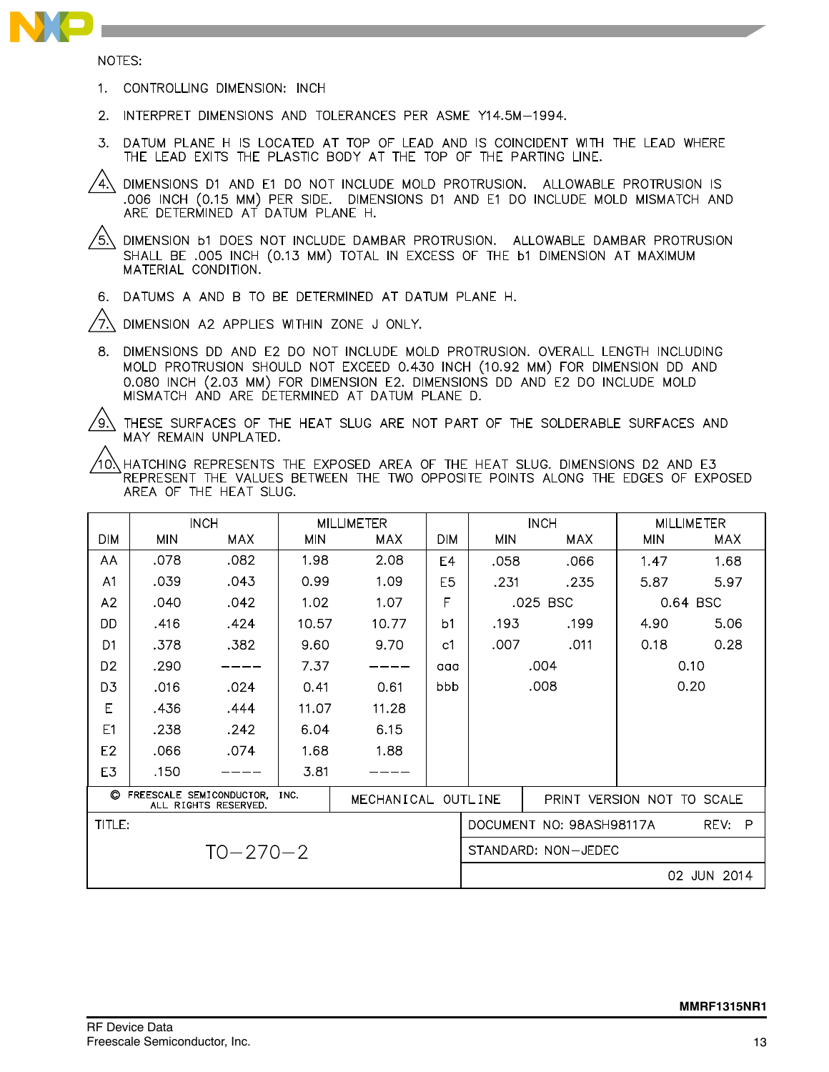

NOTES:

- 1. CONTROLLING DIMENSION: INCH
- 2. INTERPRET DIMENSIONS AND TOLERANCES PER ASME Y14.5M-1994.
- 3. DATUM PLANE H IS LOCATED AT TOP OF LEAD AND IS COINCIDENT WITH THE LEAD WHERE THE LEAD EXITS THE PLASTIC BODY AT THE TOP OF THE PARTING LINE.
- 4) DIMENSIONS D1 AND E1 DO NOT INCLUDE MOLD PROTRUSION. ALLOWABLE PROTRUSION IS .006 INCH (0.15 MM) PER SIDE. DIMENSIONS D1 AND E1 DO INCLUDE MOLD MISMATCH AND ARE DETERMINED AT DATUM PLANE H.

 $/$ 5 $\setminus$ DIMENSION b1 DOES NOT INCLUDE DAMBAR PROTRUSION. ALLOWABLE DAMBAR PROTRUSION SHALL BE .005 INCH (0.13 MM) TOTAL IN EXCESS OF THE b1 DIMENSION AT MAXIMUM MATERIAL CONDITION.

6. DATUMS A AND B TO BE DETERMINED AT DATUM PLANE H.

DIMENSION A2 APPLIES WITHIN ZONE J ONLY. ′7.

8. DIMENSIONS DD AND E2 DO NOT INCLUDE MOLD PROTRUSION. OVERALL LENGTH INCLUDING MOLD PROTRUSION SHOULD NOT EXCEED 0.430 INCH (10.92 MM) FOR DIMENSION DD AND 0.080 INCH (2.03 MM) FOR DIMENSION E2. DIMENSIONS DD AND E2 DO INCLUDE MOLD MISMATCH AND ARE DETERMINED AT DATUM PLANE D.

 $\sqrt{9}$ 

THESE SURFACES OF THE HEAT SLUG ARE NOT PART OF THE SOLDERABLE SURFACES AND MAY REMAIN UNPLATED.

10) HATCHING REPRESENTS THE EXPOSED AREA OF THE HEAT SLUG. DIMENSIONS D2 AND E3 REPRESENT THE VALUES BETWEEN THE TWO OPPOSITE POINTS ALONG THE EDGES OF EXPOSED AREA OF THE HEAT SLUG.

|                                                            | <b>INCH</b> |      |                    | <b>MILLIMETER</b> |                     | <b>INCH</b>                |           | <b>MILLIMETER</b> |            |
|------------------------------------------------------------|-------------|------|--------------------|-------------------|---------------------|----------------------------|-----------|-------------------|------------|
| <b>DIM</b>                                                 | <b>MIN</b>  | MAX. | MIN                | MAX.              | <b>DIM</b>          | <b>MIN</b>                 | MAX.      | <b>MIN</b>        | <b>MAX</b> |
| AA                                                         | .078        | .082 | 1.98               | 2.08              | E4                  | .058                       | .066      | 1.47              | 1.68       |
| A <sub>1</sub>                                             | .039        | .043 | 0.99               | 1.09              | E <sub>5</sub>      | .231                       | .235      | 5.87              | 5.97       |
| A2                                                         | .040        | .042 | 1.02               | 1.07              | F                   | .025 BSC                   |           | 0.64 BSC          |            |
| DD                                                         | .416        | .424 | 10.57              | 10.77             | b <sub>1</sub>      | .193                       | .199      | 4.90              | 5.06       |
| D <sub>1</sub>                                             | .378        | .382 | 9.60               | 9.70              | c1                  | .007                       | .011      | 0.18              | 0.28       |
| D <sub>2</sub>                                             | .290        |      | 7.37               |                   | aaa                 | .004<br>0.10               |           |                   |            |
| D <sub>3</sub>                                             | .016        | .024 | 0.41               | 0.61              | bbb                 | .008<br>0.20               |           |                   |            |
| E                                                          | .436        | .444 | 11.07              | 11.28             |                     |                            |           |                   |            |
| E1                                                         | .238        | .242 | 6.04               | 6.15              |                     |                            |           |                   |            |
| E <sub>2</sub>                                             | .066        | .074 | 1.68               | 1.88              |                     |                            |           |                   |            |
| E3                                                         | .150        |      | 3.81               |                   |                     |                            |           |                   |            |
| C FREESCALE SEMICONDUCTOR.<br>INC.<br>ALL RIGHTS RESERVED. |             |      | MECHANICAL OUTLINE |                   |                     | PRINT VERSION NOT TO SCALE |           |                   |            |
| TITLE:<br>DOCUMENT NO: 98ASH98117A                         |             |      |                    |                   |                     |                            | P<br>REV: |                   |            |
| $TO - 270 - 2$                                             |             |      |                    |                   | STANDARD: NON-JEDEC |                            |           |                   |            |
|                                                            |             |      |                    |                   |                     |                            |           | 02 JUN 2014       |            |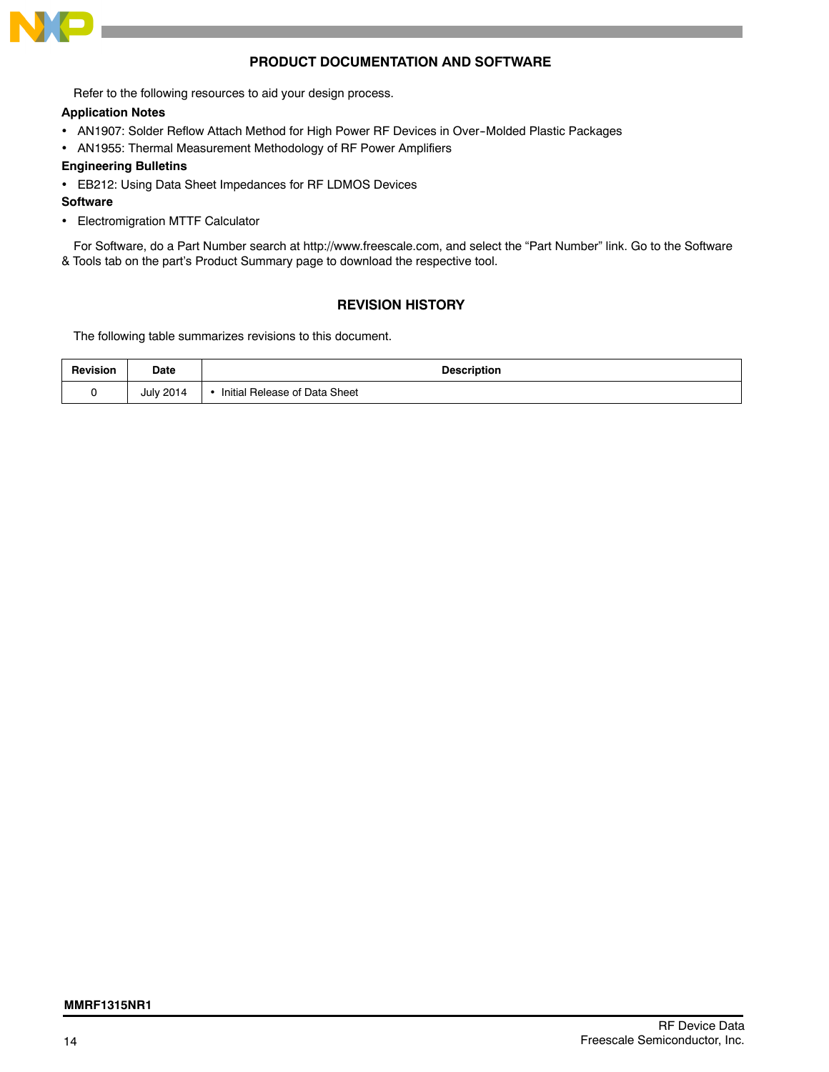

#### **PRODUCT DOCUMENTATION AND SOFTWARE**

Refer to the following resources to aid your design process.

#### **Application Notes**

- AN1907: Solder Reflow Attach Method for High Power RF Devices in Over-Molded Plastic Packages
- AN1955: Thermal Measurement Methodology of RF Power Amplifiers

#### **Engineering Bulletins**

EB212: Using Data Sheet Impedances for RF LDMOS Devices

#### **Software**

Electromigration MTTF Calculator

For Software, do a Part Number search at http://www.freescale.com, and select the "Part Number" link. Go to the Software & Tools tab on the part's Product Summary page to download the respective tool.

#### **REVISION HISTORY**

The following table summarizes revisions to this document.

| <b>Revision</b> | Date             | <b>Description</b>            |
|-----------------|------------------|-------------------------------|
|                 | <b>July 2014</b> | Initial Release of Data Sheet |